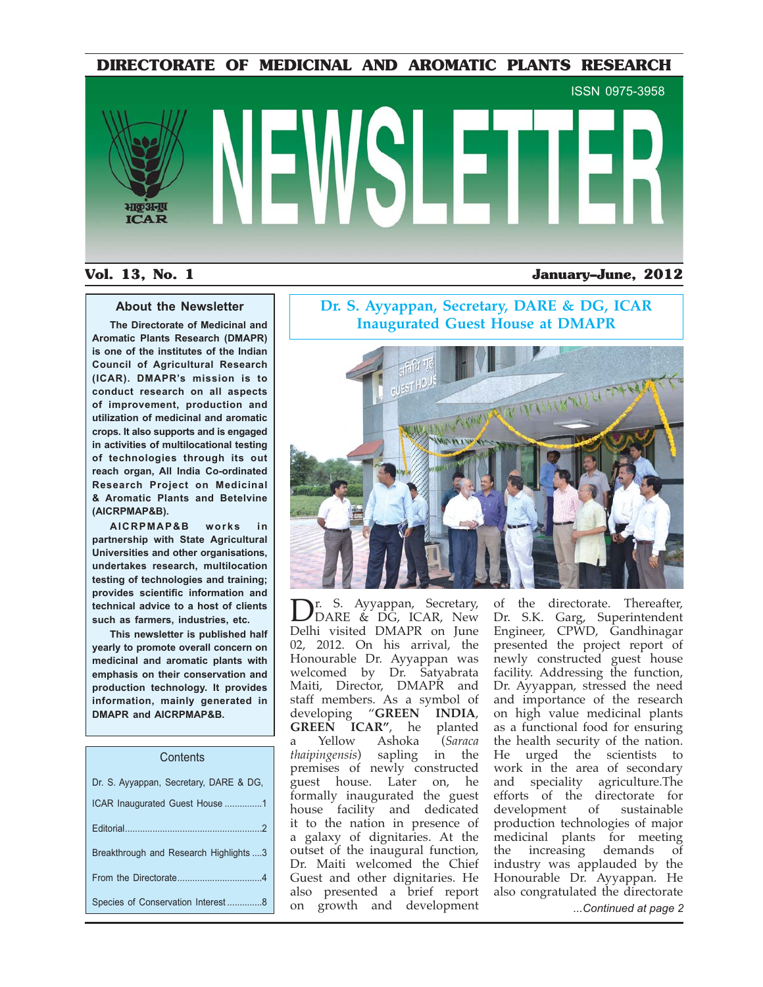**DIRECTORATE OF MEDICINAL AND AROMATIC PLANTS RESEARCH**



# **Vol. 13, No. 1 January–June, 2012**

# **About the Newsletter**

**The Directorate of Medicinal and Aromatic Plants Research (DMAPR) is one of the institutes of the Indian Council of Agricultural Research (ICAR). DMAPR's mission is to conduct research on all aspects of improvement, production and utilization of medicinal and aromatic crops. It also supports and is engaged in activities of multilocational testing of technologies through its out reach organ, All India Co-ordinated Research Project on Medicinal & Aromatic Plants and Betelvine (AICRPMAP&B).**

**AICRPMAP&B works in partnership with State Agricultural Universities and other organisations, undertakes research, multilocation testing of technologies and training;**  provides scientific information and **technical advice to a host of clients such as farmers, industries, etc.**

**This newsletter is published half yearly to promote overall concern on medicinal and aromatic plants with emphasis on their conservation and production technology. It provides information, mainly generated in DMAPR and AICRPMAP&B.**

### **Contents**

| Dr. S. Ayyappan, Secretary, DARE & DG, |
|----------------------------------------|
| ICAR Inaugurated Guest House 1         |
|                                        |
| Breakthrough and Research Highlights 3 |
|                                        |
|                                        |

# **Dr. S. Ayyappan, Secretary, DARE & DG, ICAR Inaugurated Guest House at DMAPR**



Species of Conservation Interest ..............8 *...Continued at page 2* + 

 ) Dr. S. Ayyappan, Secretary,<br>DDARE & DG, ICAR, New<br>Delhi visited DMAPR on June r. S. Ayyappan, Secretary, DARE & DG, ICAR, New 02, 2012. On his arrival, the Honourable Dr. Ayyappan was welcomed by Dr. Satyabrata Maiti, Director, DMAPR and staff members. As a symbol of developing "**G** "GREEN INDIA, **GREEN ICAR", he p** planted a Yellow Ashoka *(Saraca* thaipingensis) sap in the premises of newly constructed guest house. Later on, he formally inaugurated the guest house facility and dedicated it to the nation in presence of a galaxy of dignitaries. At the outset of the inaugural function, Dr. Maiti welcomed the Chief Guest and other dignitaries. He also presented a brief report

of the directorate. Thereafter, Dr. S.K. Garg, Superintendent Engineer, CPWD, Gandhinagar presented the project report of newly constructed guest house facility. Addressing the function, Dr. Ayyappan, stressed the need and importance of the research on high value medicinal plants as a functional food for ensuring the health security of the nation. He urged the scientists to work in the area of secondary and speciality agriculture.The efforts of the directorate for development of sustainable production technologies of major medicinal plants for meeting the increasing demands of industry was applauded by the Honourable Dr. Ayyappan. He also congratulated the directorate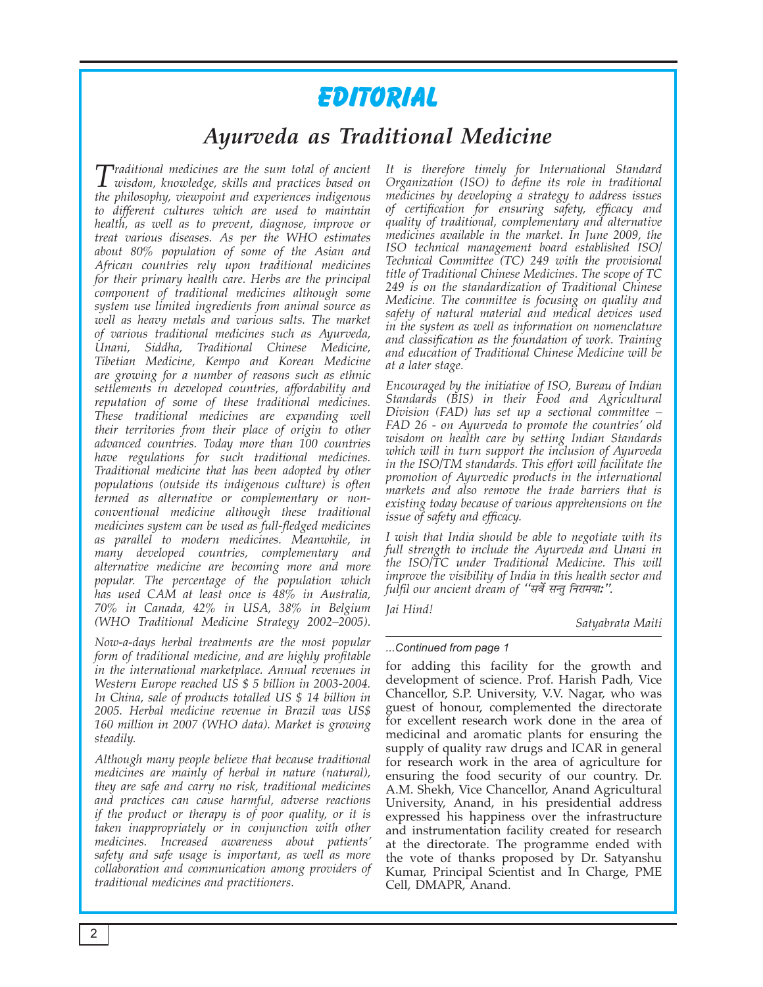# EDITORIAL

# Ayurveda as Traditional Medicine

 $\Gamma$ raditional medicines are the sum total of ancient  $\boldsymbol{1}$  wisdom, knowledge, skills and practices based on the philosophy, viewpoint and experiences indigenous to different cultures which are used to maintain health, as well as to prevent, diagnose, improve or treat various diseases. As per the WHO estimates about 80% population of some of the Asian and African countries rely upon traditional medicines for their primary health care. Herbs are the principal component of traditional medicines although some system use limited ingredients from animal source as well as heavy metals and various salts. The market of various traditional medicines such as Ayurveda, Unani, Siddha, Traditional Chinese Medicine, Tibetian Medicine, Kempo and Korean Medicine are growing for a number of reasons such as ethnic settlements in developed countries, affordability and reputation of some of these traditional medicines. These traditional medicines are expanding well their territories from their place of origin to other advanced countries. Today more than 100 countries have regulations for such traditional medicines. Traditional medicine that has been adopted by other populations (outside its indigenous culture) is often termed as alternative or complementary or nonconventional medicine although these traditional medicines system can be used as full-fledged medicines as parallel to modern medicines. Meanwhile, in many developed countries, complementary and alternative medicine are becoming more and more popular. The percentage of the population which has used CAM at least once is 48% in Australia, 70% in Canada, 42% in USA, 38% in Belgium (WHO Traditional Medicine Strategy 2002-2005).

Now-a-days herbal treatments are the most popular form of traditional medicine, and are highly profitable in the international marketplace. Annual revenues in Western Europe reached US \$ 5 billion in 2003-2004. In China, sale of products totalled US \$ 14 billion in 2005. Herbal medicine revenue in Brazil was US\$ 160 million in 2007 (WHO data). Market is growing steadily.

Although many people believe that because traditional medicines are mainly of herbal in nature (natural), they are safe and carry no risk, traditional medicines and practices can cause harmful, adverse reactions if the product or therapy is of poor quality, or it is taken inappropriately or in conjunction with other medicines. Increased awareness about patients' safety and safe usage is important, as well as more collaboration and communication among providers of traditional medicines and practitioners.

It is therefore timely for International Standard Organization (ISO) to define its role in traditional medicines by developing a strategy to address issues of certification for ensuring safety, efficacy and quality of traditional, complementary and alternative medicines available in the market. In June 2009, the ISO technical management board established ISO/ Technical Committee (TC) 249 with the provisional title of Traditional Chinese Medicines. The scope of TC 249 is on the standardization of Traditional Chinese Medicine. The committee is focusing on quality and safety of natural material and medical devices used in the system as well as information on nomenclature and classification as the foundation of work. Training and education of Traditional Chinese Medicine will be at a later stage.

Encouraged by the initiative of ISO, Bureau of Indian Standards (BIS) in their Food and Agricultural Division (FAD) has set up a sectional committee -FAD 26 - on Ayurveda to promote the countries' old wisdom on health care by setting Indian Standards which will in turn support the inclusion of Ayurveda in the ISO/TM standards. This effort will facilitate the promotion of Ayurvedic products in the international markets and also remove the trade barriers that is existing today because of various apprehensions on the issue of safety and efficacy.

I wish that India should be able to negotiate with its full strength to include the Ayurveda and Unani in the ISO/TC under Traditional Medicine. This will improve the visibility of India in this health sector and fulfil our ancient dream of "सर्वे सन्तु निरामया:".

Iai Hind!

Satyabrata Maiti

## ...Continued from page 1

for adding this facility for the growth and development of science. Prof. Harish Padh, Vice Chancellor, S.P. University, V.V. Nagar, who was guest of honour, complemented the directorate for excellent research work done in the area of medicinal and aromatic plants for ensuring the supply of quality raw drugs and ICAR in general for research work in the area of agriculture for ensuring the food security of our country. Dr. A.M. Shekh, Vice Chancellor, Anand Agricultural University, Anand, in his presidential address expressed his happiness over the infrastructure and instrumentation facility created for research at the directorate. The programme ended with the vote of thanks proposed by Dr. Satyanshu Kumar, Principal Scientist and In Charge, PME Cell, DMAPR, Anand.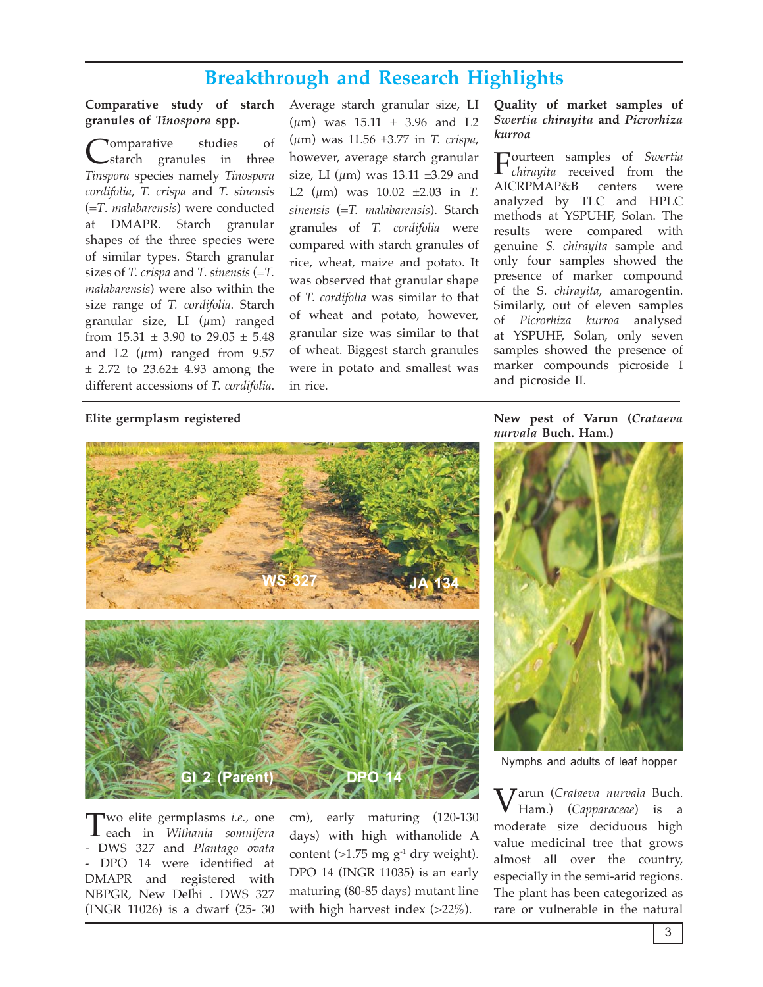# **Breakthrough and Research Highlights**

# Comparative study of starch granules of Tinospora spp.

**Tomparative** studies of starch granules in three Tinspora species namely Tinospora cordifolia, T. crispa and T. sinensis  $(=T.$  malabarensis) were conducted at DMAPR. Starch granular shapes of the three species were of similar types. Starch granular sizes of T. crispa and T. sinensis  $(=T)$ . *malabarensis*) were also within the size range of *T. cordifolia*. Starch granular size, LI  $(\mu m)$  ranged from  $15.31 \pm 3.90$  to  $29.05 \pm 5.48$ and L2  $(\mu m)$  ranged from 9.57  $\pm$  2.72 to 23.62 $\pm$  4.93 among the different accessions of T. cordifolia. Average starch granular size, LI ( $\mu$ m) was 15.11  $\pm$  3.96 and L2 ( $\mu$ m) was 11.56 ±3.77 in *T. crispa*, however, average starch granular size, LI ( $\mu$ m) was 13.11 ±3.29 and L2 ( $\mu$ m) was 10.02  $\pm$ 2.03 in T. sinensis  $(=T.$  malabarensis). Starch granules of T. cordifolia were compared with starch granules of rice, wheat, maize and potato. It was observed that granular shape of T. cordifolia was similar to that of wheat and potato, however, granular size was similar to that of wheat. Biggest starch granules were in potato and smallest was in rice.

# Elite germplasm registered

# **Parent**

Two elite germplasms *i.e.*, one Leach in Withania somnifera - DWS 327 and Plantago ovata - DPO 14 were identified at DMAPR and registered with NBPGR, New Delhi . DWS 327 (INGR 11026) is a dwarf (25-30) cm), early maturing (120-130) days) with high withanolide A content (>1.75 mg  $g^{-1}$  dry weight). DPO 14 (INGR 11035) is an early maturing (80-85 days) mutant line with high harvest index  $(>22\%)$ .

# Quality of market samples of Swertia chirayita and Picrorhiza kurroa

Courteen samples of Swertia  $\mathbf{I}$  *chirayita* received from the AICRPMAP&B centers were analyzed by TLC and HPLC methods at YSPUHF, Solan. The results were compared with genuine S. chirayita sample and only four samples showed the presence of marker compound of the S. *chirayita*, amarogentin. Similarly, out of eleven samples of Picrorhiza kurroa analysed at YSPUHF, Solan, only seven samples showed the presence of marker compounds picroside I and picroside II.

New pest of Varun (Crataeva nurvala Buch. Ham.)



Nymphs and adults of leaf hopper

Jarun (Crataeva nurvala Buch. Ham.) (Capparaceae) is a moderate size deciduous high value medicinal tree that grows almost all over the country, especially in the semi-arid regions. The plant has been categorized as rare or vulnerable in the natural

3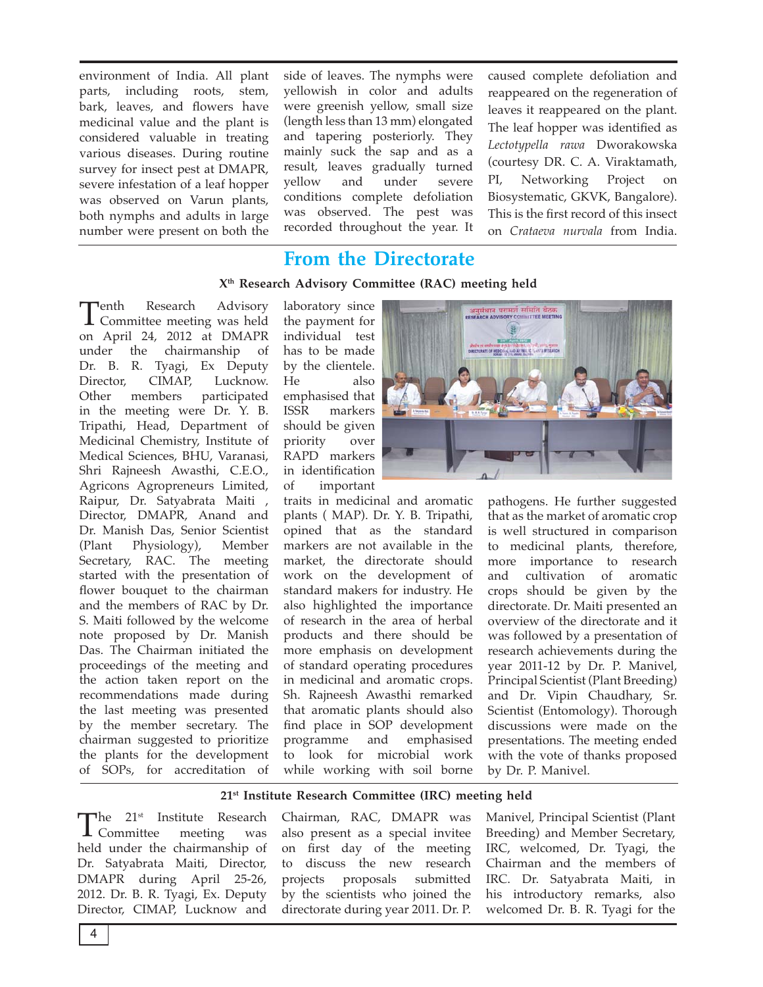environment of India. All plant parts, including roots, stem, bark, leaves, and flowers have medicinal value and the plant is considered valuable in treating various diseases. During routine survey for insect pest at DMAPR, severe infestation of a leaf hopper was observed on Varun plants, both nymphs and adults in large number were present on both the side of leaves. The nymphs were yellowish in color and adults were greenish yellow, small size (length less than 13 mm) elongated and tapering posteriorly. They mainly suck the sap and as a result, leaves gradually turned yellow and under severe conditions complete defoliation was observed. The pest was recorded throughout the year. It

caused complete defoliation and reappeared on the regeneration of leaves it reappeared on the plant. The leaf hopper was identified as Lectotypella rawa Dworakowska (courtesy DR. C. A. Viraktamath, PI, Networking Project on Biosystematic, GKVK, Bangalore). This is the first record of this insect on Crataeva nurvala from India.

# **From the Directorate**

# X<sup>th</sup> Research Advisory Committee (RAC) meeting held

¬enth Research Advisory L Committee meeting was held on April 24, 2012 at DMAPR under the chairmanship of Dr. B. R. Tyagi, Ex Deputy Director, CIMAP, Lucknow. Other members participated in the meeting were Dr. Y. B. Tripathi, Head, Department of Medicinal Chemistry, Institute of Medical Sciences, BHU, Varanasi, Shri Rajneesh Awasthi, C.E.O., Agricons Agropreneurs Limited, Raipur, Dr. Satyabrata Maiti, Director, DMAPR, Anand and Dr. Manish Das, Senior Scientist (Plant) Physiology), Member Secretary, RAC. The meeting started with the presentation of flower bouquet to the chairman and the members of RAC by Dr. S. Maiti followed by the welcome note proposed by Dr. Manish Das. The Chairman initiated the proceedings of the meeting and the action taken report on the recommendations made during the last meeting was presented by the member secretary. The chairman suggested to prioritize the plants for the development of SOPs, for accreditation of

laboratory since the payment for individual test has to be made by the clientele. He also emphasised that markers ISSR should be given priority over RAPD markers in identification of important

traits in medicinal and aromatic plants (MAP). Dr. Y. B. Tripathi, opined that as the standard markers are not available in the market, the directorate should work on the development of standard makers for industry. He also highlighted the importance of research in the area of herbal products and there should be more emphasis on development of standard operating procedures in medicinal and aromatic crops. Sh. Rajneesh Awasthi remarked that aromatic plants should also find place in SOP development programme and emphasised to look for microbial work while working with soil borne



pathogens. He further suggested that as the market of aromatic crop is well structured in comparison to medicinal plants, therefore, more importance to research and cultivation of aromatic crops should be given by the directorate. Dr. Maiti presented an overview of the directorate and it was followed by a presentation of research achievements during the year 2011-12 by Dr. P. Manivel, Principal Scientist (Plant Breeding) and Dr. Vipin Chaudhary, Sr. Scientist (Entomology). Thorough discussions were made on the presentations. The meeting ended with the vote of thanks proposed by Dr. P. Manivel.

# 21<sup>st</sup> Institute Research Committee (IRC) meeting held

The 21<sup>st</sup> Institute Research  $\mathbf 1$  Committee meeting was held under the chairmanship of Dr. Satyabrata Maiti, Director, DMAPR during April 25-26, 2012. Dr. B. R. Tyagi, Ex. Deputy Director, CIMAP, Lucknow and

Chairman, RAC, DMAPR was also present as a special invitee on first day of the meeting to discuss the new research projects proposals submitted by the scientists who joined the directorate during year 2011. Dr. P.

Manivel, Principal Scientist (Plant Breeding) and Member Secretary, IRC, welcomed, Dr. Tyagi, the Chairman and the members of IRC. Dr. Satyabrata Maiti, in his introductory remarks, also welcomed Dr. B. R. Tyagi for the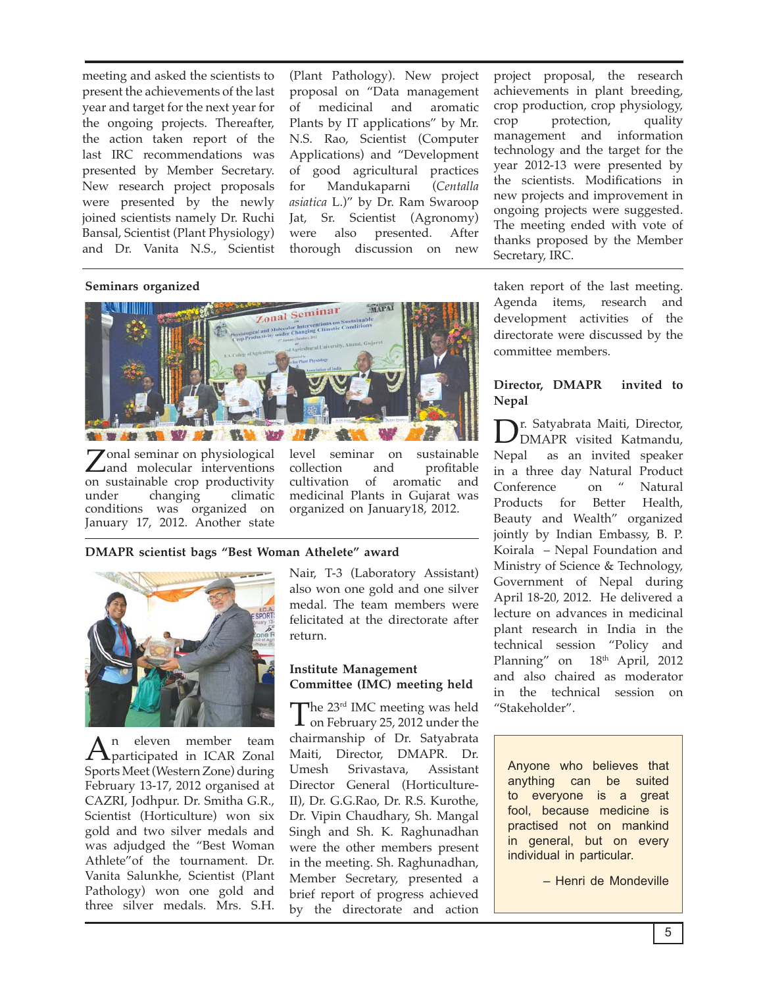meeting and asked the scientists to present the achievements of the last year and target for the next year for the ongoing projects. Thereafter, the action taken report of the last IRC recommendations was presented by Member Secretary. New research project proposals were presented by the newly joined scientists namely Dr. Ruchi Bansal, Scientist (Plant Physiology) and Dr. Vanita N.S., Scientist

(Plant Pathology). New project proposal on "Data management medicinal and aromatic of Plants by IT applications" by Mr. N.S. Rao, Scientist (Computer Applications) and "Development of good agricultural practices Mandukaparni (Centalla for asiatica L.)" by Dr. Ram Swaroop Jat, Sr. Scientist (Agronomy) also presented. were After thorough discussion on new project proposal, the research achievements in plant breeding, crop production, crop physiology, crop protection, quality management and information technology and the target for the year 2012-13 were presented by the scientists. Modifications in new projects and improvement in ongoing projects were suggested. The meeting ended with vote of thanks proposed by the Member Secretary, IRC.

## Seminars organized



Zonal seminar on physiological<br>
and molecular interventions on sustainable crop productivity under climatic changing conditions was organized on January 17, 2012. Another state

level seminar  $\alpha$ sustainable profitable collection and of aromatic cultivation and medicinal Plants in Gujarat was organized on January18, 2012.

# DMAPR scientist bags "Best Woman Athelete" award



n eleven member team  $A$ <sup>"</sup> participated in ICAR Zonal Sports Meet (Western Zone) during February 13-17, 2012 organised at CAZRI, Jodhpur. Dr. Smitha G.R., Scientist (Horticulture) won six gold and two silver medals and was adjudged the "Best Woman Athlete" of the tournament. Dr. Vanita Salunkhe, Scientist (Plant Pathology) won one gold and three silver medals. Mrs. S.H. Nair, T-3 (Laboratory Assistant) also won one gold and one silver medal. The team members were felicitated at the directorate after return.

# **Institute Management** Committee (IMC) meeting held

 $\blacksquare$  he 23<sup>rd</sup> IMC meeting was held  $\perp$  on February 25, 2012 under the chairmanship of Dr. Satyabrata Maiti, Director, DMAPR. Dr. Umesh Srivastava. Assistant Director General (Horticulture-II), Dr. G.G.Rao, Dr. R.S. Kurothe, Dr. Vipin Chaudhary, Sh. Mangal Singh and Sh. K. Raghunadhan were the other members present in the meeting. Sh. Raghunadhan, Member Secretary, presented a brief report of progress achieved by the directorate and action

taken report of the last meeting. Agenda items, research and development activities of the directorate were discussed by the committee members.

### Director, DMAPR invited to **Nepal**

r. Satyabrata Maiti, Director,  $J_{\text{DMAPR}}^{\text{max}}$  visited Katmandu, Nepal as an invited speaker in a three day Natural Product  $\mathcal{U}$ Conference Natural on Products Better Health. for Beauty and Wealth" organized jointly by Indian Embassy, B. P. Koirala - Nepal Foundation and Ministry of Science & Technology, Government of Nepal during April 18-20, 2012. He delivered a lecture on advances in medicinal plant research in India in the technical session "Policy and Planning" on 18<sup>th</sup> April, 2012 and also chaired as moderator in the technical session on "Stakeholder".

Anyone who believes that anything can be suited to everyone is a great fool, because medicine is practised not on mankind in general, but on every individual in particular.

- Henri de Mondeville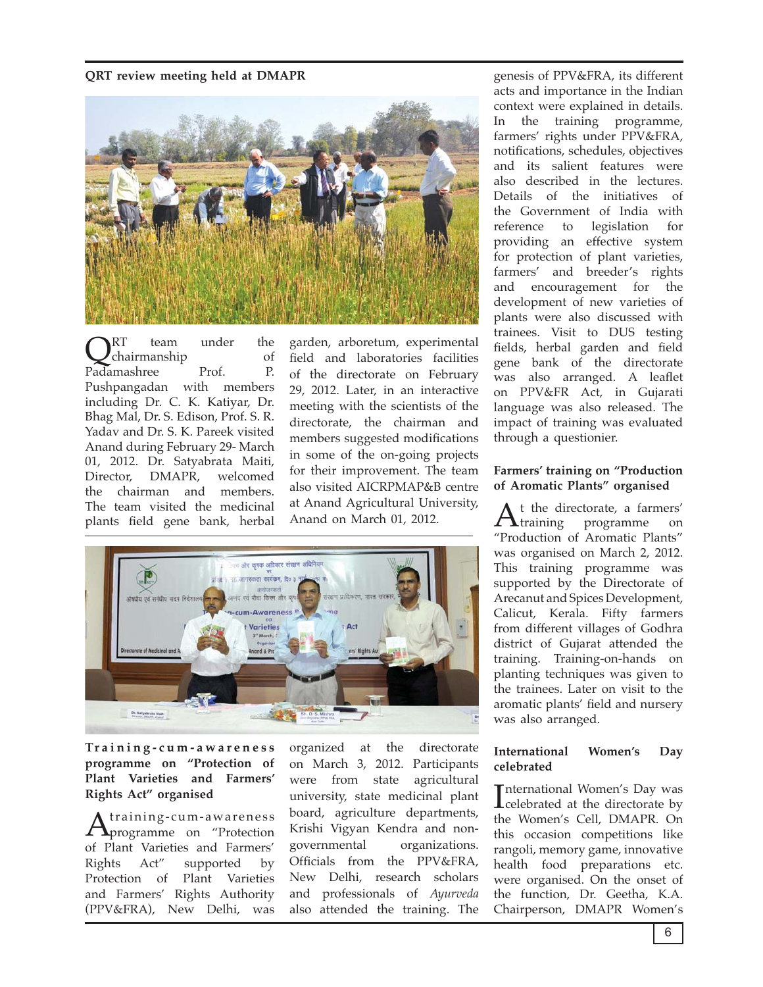# QRT review meeting held at DMAPR



under the RT team chairmanship  $\sigma$ f Padamashree Prof.  $P_{\cdot}$ Pushpangadan with members including Dr. C. K. Katiyar, Dr. Bhag Mal, Dr. S. Edison, Prof. S. R. Yadav and Dr. S. K. Pareek visited Anand during February 29- March 01, 2012. Dr. Satyabrata Maiti, Director. DMAPR. welcomed the chairman and members The team visited the medicinal plants field gene bank, herbal

garden, arboretum, experimental field and laboratories facilities of the directorate on February 29, 2012. Later, in an interactive meeting with the scientists of the directorate, the chairman and members suggested modifications in some of the on-going projects for their improvement. The team also visited AICRPMAP&B centre at Anand Agricultural University, Anand on March 01, 2012.



Training-cum-awareness programme on "Protection of Plant Varieties and Farmers' Rights Act" organised

training-cum-awareness  $\mathbf{\Lambda}$ programme on "Protection of Plant Varieties and Farmers' Act" Rights supported by Protection of Plant Varieties and Farmers' Rights Authority (PPV&FRA), New Delhi, was

organized at the directorate on March 3, 2012. Participants were from state agricultural university, state medicinal plant board, agriculture departments, Krishi Vigyan Kendra and nongovernmental organizations. Officials from the PPV&FRA, New Delhi, research scholars and professionals of Ayurveda also attended the training. The genesis of PPV&FRA, its different acts and importance in the Indian context were explained in details. In the training programme, farmers' rights under PPV&FRA, notifications, schedules, objectives and its salient features were also described in the lectures. Details of the initiatives of the Government of India with reference to legislation for providing an effective system for protection of plant varieties, farmers' and breeder's rights and encouragement for the development of new varieties of plants were also discussed with trainees. Visit to DUS testing fields, herbal garden and field gene bank of the directorate was also arranged. A leaflet on PPV&FR Act, in Gujarati language was also released. The impact of training was evaluated through a questionier.

# Farmers' training on "Production of Aromatic Plants" organised

t the directorate, a farmers'  $A$ <sub>training</sub> programme on "Production of Aromatic Plants" was organised on March 2, 2012. This training programme was supported by the Directorate of Arecanut and Spices Development, Calicut, Kerala. Fifty farmers from different villages of Godhra district of Gujarat attended the training. Training-on-hands on planting techniques was given to the trainees. Later on visit to the aromatic plants' field and nursery was also arranged.

### International Women's Day celebrated

International Women's Day was  $\mathbf{\mathbf{\mathbf{\mathsf{L}}}$  celebrated at the directorate by the Women's Cell, DMAPR, On this occasion competitions like rangoli, memory game, innovative health food preparations etc. were organised. On the onset of the function, Dr. Geetha, K.A. Chairperson, DMAPR Women's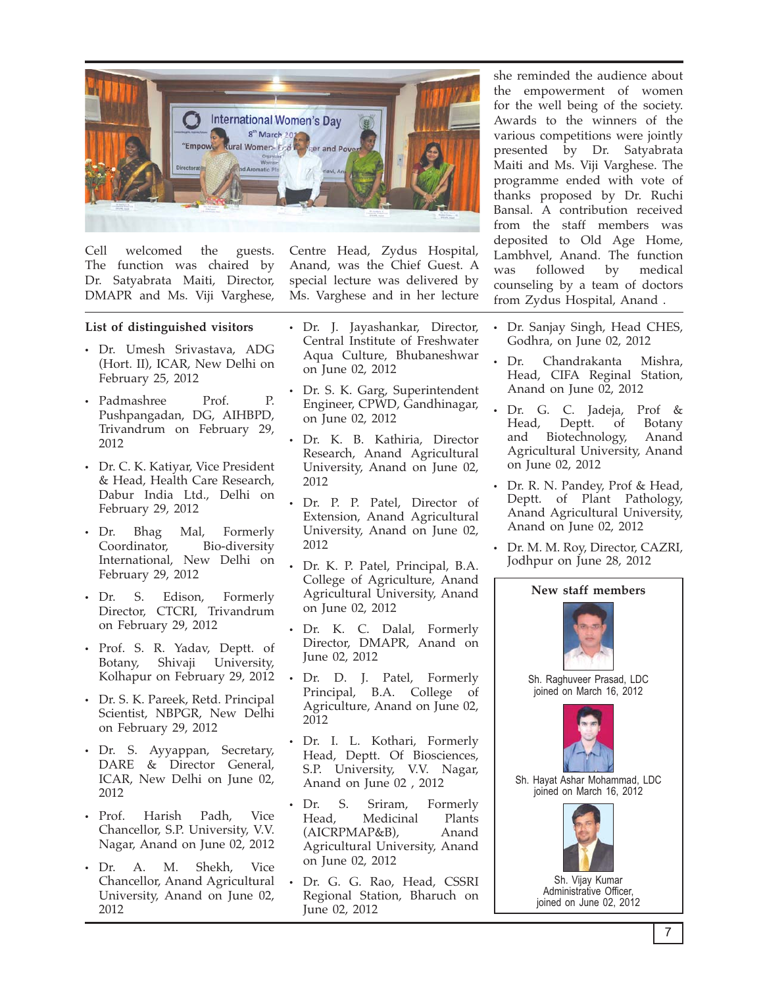

welcomed Cell the guests. The function was chaired by Dr. Satyabrata Maiti, Director, DMAPR and Ms. Viji Varghese,

# List of distinguished visitors

- · Dr. Umesh Srivastava, ADG (Hort. II), ICAR, New Delhi on February 25, 2012
- Padmashree Prof. P. Pushpangadan, DG, AIHBPD, Trivandrum on February 29, 2012
- Dr. C. K. Katiyar, Vice President & Head, Health Care Research, Dabur India Ltd., Delhi on February 29, 2012
- $\bullet$  Dr. **Bhag** Mal, Formerly Coordinator, Bio-diversity International, New Delhi on February 29, 2012
- $\cdot$  Dr S. Edison, Formerly Director, CTCRI, Trivandrum on February 29, 2012
- Prof. S. R. Yadav, Deptt. of Botany, Shivaji University, Kolhapur on February 29, 2012
- Dr. S. K. Pareek, Retd. Principal Scientist, NBPGR, New Delhi on February 29, 2012
- Dr. S. Ayyappan, Secretary, DARE & Director General, ICAR, New Delhi on June 02, 2012
- $\cdot$  Prof. Harish Padh, Vice Chancellor, S.P. University, V.V. Nagar, Anand on June 02, 2012
- $\bullet$  Dr. A. М. Shekh, Vice Chancellor, Anand Agricultural University, Anand on June 02, 2012

Centre Head, Zydus Hospital, Anand, was the Chief Guest. A special lecture was delivered by Ms. Varghese and in her lecture

- Dr. J. Jayashankar, Director, Central Institute of Freshwater Aqua Culture, Bhubaneshwar on June 02, 2012
- Dr. S. K. Garg, Superintendent Engineer, CPWD, Gandhinagar, on June 02, 2012
- Dr. K. B. Kathiria, Director Research, Anand Agricultural University, Anand on June 02, 2012
- · Dr. P. P. Patel, Director of Extension, Anand Agricultural University, Anand on June 02, 2012
- Dr. K. P. Patel, Principal, B.A. College of Agriculture, Anand Agricultural University, Anand on June 02, 2012
- Dr. K. C. Dalal, Formerly Director, DMAPR, Anand on June 02, 2012
- Dr. D. J. Patel, Formerly Principal, B.A. College of Agriculture, Anand on June 02, 2012
- Dr. I. L. Kothari, Formerly Head, Deptt. Of Biosciences, S.P. University, V.V. Nagar, Anand on June 02, 2012
- S. Dr. Sriram. Formerly  $\bullet$ Head. Medicinal Plants (AICRPMAP&B). Anand Agricultural University, Anand on June 02, 2012
- $\bullet$ Dr. G. G. Rao, Head, CSSRI Regional Station, Bharuch on June 02, 2012

she reminded the audience about the empowerment of women for the well being of the society. Awards to the winners of the various competitions were jointly presented by Dr. Satyabrata Maiti and Ms. Viji Varghese. The programme ended with vote of thanks proposed by Dr. Ruchi Bansal. A contribution received from the staff members was deposited to Old Age Home, Lambhvel, Anand. The function was followed  $bv$ medical counseling by a team of doctors from Zydus Hospital, Anand.

- Dr. Sanjay Singh, Head CHES, Godhra, on June 02, 2012
- Dr. Chandrakanta Mishra, Head, CIFA Reginal Station, Anand on June 02, 2012
- Dr. G. C. Jadeja, Prof  $\&$ Head, Deptt. of Botany Biotechnology, and Anand Agricultural University, Anand on June 02, 2012
- Dr. R. N. Pandey, Prof & Head, Deptt. of Plant Pathology, Anand Agricultural University, Anand on June 02, 2012
- Dr. M. M. Roy, Director, CAZRI, Jodhpur on June 28, 2012